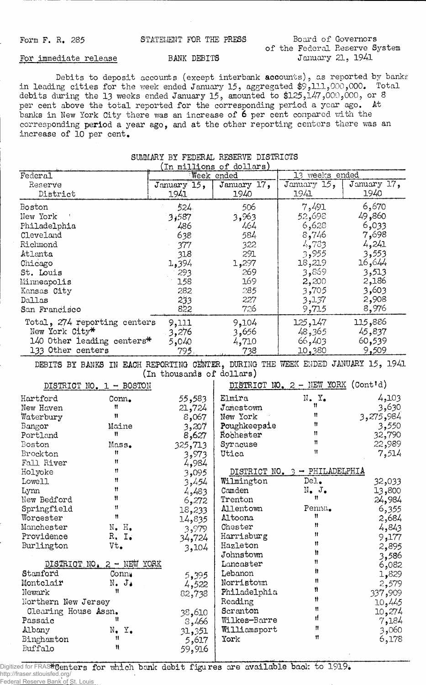Form F. R. 285 **STATEMENT FOR THE PRESS** Board of Governors **of the Federal Reserve System**

## For immediate release BANK DEBITS

**Debits to deposit accounts (except interbank accounts), as reported by banks in leading cities for the week ended January 15, aggregated \$9>111>000,000\* Total debits during the 13 weeks ended January 15, amounted to \$125,147,0005000, or 8 per cent above the total reported for the corresponding period a year ago. At banks in New York City there was an increase of 6 per cent compared with the corresponding period a year ago, and at the other reporting centers there was an increase of 10 per cent.**

**SUMMARY BY FEDERAL RESERVE DISTRICTS**

| (In millions of dollars)     |                             |                           |                                                                                  |                                    |             |  |  |  |
|------------------------------|-----------------------------|---------------------------|----------------------------------------------------------------------------------|------------------------------------|-------------|--|--|--|
| Federal                      |                             | Week ended                |                                                                                  | 13 weeks ended                     |             |  |  |  |
| Reserve                      |                             | January 15,               | January 17,                                                                      | January 15,                        | January 17, |  |  |  |
| District                     |                             | 1941                      | 1940                                                                             | 1941                               | 1940        |  |  |  |
| <b>Boston</b>                |                             | 524.                      | 506                                                                              | 7,491                              | 6,670       |  |  |  |
| New York                     |                             | 3,587                     | 3,963                                                                            | 52,698                             | 49,860      |  |  |  |
| Philadelphia                 |                             | 486                       | 464                                                                              | 6,628                              | 6,033       |  |  |  |
| Cleveland                    |                             | 638                       | 584                                                                              | 8,746                              | 7,698       |  |  |  |
| Richmond                     |                             |                           | 322                                                                              | 4,733                              | 4,241       |  |  |  |
|                              |                             | 377                       |                                                                                  |                                    |             |  |  |  |
| Atlanta                      |                             | 318                       | 291                                                                              | 3,955                              | 3,553       |  |  |  |
| Chicago                      |                             | 1,394                     | 1,297                                                                            | 18,219                             | 16,644      |  |  |  |
| St. Louis                    |                             | 293                       | 269                                                                              | 3,869                              | 3,513       |  |  |  |
| Minneapolis                  |                             | 158                       | 169                                                                              | 2,200                              | 2,186       |  |  |  |
| Kansas City                  |                             | 282                       | 285                                                                              | 3,705                              | 3,603       |  |  |  |
| Dallas                       |                             | 233                       | 227                                                                              | 3,137                              | 2,908       |  |  |  |
| San Francisco                |                             | 822                       | 726                                                                              | 9,715                              | 8,976       |  |  |  |
| Total, 274 reporting centers |                             | 9,111                     | 9,104                                                                            | 125,147                            | 115,886     |  |  |  |
| New York City*               |                             | 3,276                     | 3,656                                                                            | 48,365                             | 45,837      |  |  |  |
| 140 Other leading centers*   |                             | 5,040                     | 4,710                                                                            | 66,403                             | 60,539      |  |  |  |
| 133 Other centers            |                             | 795                       | 738                                                                              | 10,380                             | 9,509       |  |  |  |
|                              |                             |                           | DEBITS BY BANKS IN EACH REPORTING CENTER, DURING THE WEEK ENDED JANUARY 15, 1941 |                                    |             |  |  |  |
|                              |                             | (In thousands of dollars) |                                                                                  |                                    |             |  |  |  |
| DISTRICT NO. 1 - BOSTON      |                             |                           |                                                                                  | DISTRICT NO. 2 - NEW YORK (Cont'd) |             |  |  |  |
|                              |                             |                           |                                                                                  |                                    |             |  |  |  |
| Hartford                     | $Conn_{\bullet}$            | 55,583                    | Elmira                                                                           | $N$ . $Yo$<br>Ħ                    | 4,103       |  |  |  |
| New Haven                    | Ħ                           | 21,724                    | Jamestown                                                                        |                                    | 3,630       |  |  |  |
| Waterbury                    | 11                          | 8,067                     | New York                                                                         | Ħ                                  | 3,275,984   |  |  |  |
| Bangor                       | Maine                       | 3,207                     | Poughkeepsie                                                                     | Ħ                                  | 3,550       |  |  |  |
| Portland                     | Ħ                           | 8,627                     | Rochester                                                                        | Ħ                                  | 32,790      |  |  |  |
| Boston                       | Mass.                       | 325,713                   | Syracuse                                                                         | Ħ                                  | 22,989      |  |  |  |
| Brockton                     | Ħ                           | 3,973                     | Utica                                                                            | $\mathbf{H}$                       | 7,514       |  |  |  |
| Fall River                   | Ħ                           | 4,984                     |                                                                                  |                                    |             |  |  |  |
| Holyoke                      | Ħ                           | 3,095                     |                                                                                  | DISTRICT NO. 3 - PHILADELPHIA      |             |  |  |  |
| Lowell                       | Ħ                           | 3,454                     | Wilmington                                                                       | Del.                               | 32,033      |  |  |  |
| Lynn                         | Ħ                           | 4,483                     | Camden                                                                           | $\texttt{N}_\bullet$ j.            | 13,800      |  |  |  |
| New Bedford                  | Ħ                           | 6,272                     | Trenton                                                                          | Ħ                                  | 24,984      |  |  |  |
| Springfield                  | 11                          | 18,233                    | Allentown                                                                        | Penna.                             | 6,355       |  |  |  |
| Worcester                    | Ħ                           | 14,835                    | Altoona                                                                          | Ħ                                  | 2,684       |  |  |  |
| Manchester                   | $N_{\bullet}$ $H_{\bullet}$ | 3,979                     | Chester                                                                          | Ħ                                  | 4,843       |  |  |  |
| Providence                   | R. I.                       | 34,724                    | Harrisburg                                                                       | Ħ                                  | 9,177       |  |  |  |
| Burlington                   | Vt.                         | 3,104                     | Hazleton                                                                         | Ħ                                  | 2,895       |  |  |  |
|                              |                             |                           | Johnstown                                                                        | Ħ                                  | 3,586       |  |  |  |
| DISTRICT NO. 2 - NEW YORK    |                             |                           | Lancaster                                                                        | Ħ                                  | 6,082       |  |  |  |
| Stamford                     | Conny                       | 5,395                     | Lebanon                                                                          | n                                  | 1,829       |  |  |  |
| Montclair                    | $N_{\bullet}$ $J_{\bullet}$ | 4,522                     | Norristown                                                                       | Ħ                                  | 2,579       |  |  |  |
| Newark                       | Ħ                           | 82,738                    | Philadelphia                                                                     | Ĥ                                  | 337,909     |  |  |  |
| Northern New Jersey          |                             |                           | Reading                                                                          | Ħ                                  | 10,445      |  |  |  |
| Clearing House Assn.         |                             | 38,610                    | Scranton                                                                         | 11                                 | 10,274      |  |  |  |
| Passaic                      | 11                          | 8,466                     | Wilkes-Barre                                                                     | ıl                                 | 7,184       |  |  |  |
| Albany                       | $N_{\bullet}$ $Y_{\bullet}$ | 31,351                    | Williamsport                                                                     | Ħ                                  | 3,060       |  |  |  |
| Binghamton                   | Ħ                           | 5,617                     | York                                                                             | Ħ                                  | 6,178       |  |  |  |
| Buffalo                      | ₩                           | 59,916                    |                                                                                  |                                    |             |  |  |  |
|                              |                             |                           |                                                                                  |                                    |             |  |  |  |

Digitized for FRASE Genters for which bank debit figures are available back to 1919. http://fraser.stlouisfed.org/ Federal Reserve Bank of St. Louis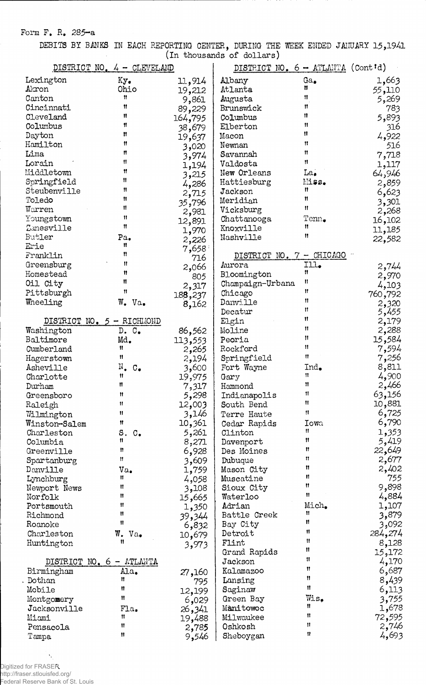## **Form F. R. 285—a**

**DEBITS BY BANKS IN EACH REPORTING CENTER, DURING THE WEEK ENDED JANUARY 15,1941 (in thousands of dollars)**

| DISTRICT NO. 4 - CLEVELAND |                              |                 | DISTRICT NO. 6 - ATLANTA (Cont'd) |                 |         |
|----------------------------|------------------------------|-----------------|-----------------------------------|-----------------|---------|
| Lexington                  | Ky.                          | 11,914          | Albany                            | $Ga_{\bullet}$  | 1,663   |
| Akron                      | Ohio                         | 19,212          | Atlanta                           | Ħ               | 55,110  |
| Canton                     | 11                           | 9,861           | Augusta                           | Ħ               | 5,269   |
| Cincinnati                 | 11                           | 89,229          | Brunswick                         | Ħ               | 783     |
| Cleveland                  | Ħ                            | 164,795         | Columbus                          | Ħ               | 5,893   |
| Columbus                   | 11                           |                 | Elberton                          | Ħ               |         |
| Dayton                     | n                            | 38,679          |                                   | Ħ               | 316     |
| Hamilton                   | Ħ                            | 19,637          | Macon                             | Ħ               | 4,922   |
|                            | n                            | 3,020           | Newnan                            | Ħ               | 516     |
| Lima                       |                              | 3,974           | Savannah                          |                 | 7,718   |
| Lorain                     | Ħ                            | 1,194           | Valdosta                          | Ħ               | 1,117   |
| Middletown                 | 11                           | 3,215           | New Orleans                       | La <sub>•</sub> | 64,946  |
| Springfield                | Ħ                            | 4,286           | Hattiesburg                       | Miss.           | 2,859   |
| Steubenville               | 11                           | 2,715           | Jackson                           | 11              | 6,623   |
| Toledo                     | 11                           | 35,796          | Meridian                          | Ħ               | 3,301   |
| Warren                     | 11                           | 2,981           | Vicksburg                         | 11              | 2,268   |
| Youngstown                 | Ħ                            | 12,891          | Chattanooga                       | Tenn.           | 16,102  |
| Zanesville                 | 11                           |                 | Knoxville                         | 11              | 11,185  |
| Butler                     | Pa.                          | 1,970           | Nashville                         | 11              | 22,582  |
| Erie                       | Ħ                            | 2,226           |                                   |                 |         |
| Franklin                   | Ħ                            | $7,658^{\circ}$ | DISTRICT NO. 7 - CHICAGO          |                 |         |
| Greensburg                 | Ħ                            | 716             | Aurora                            | Ill.            |         |
|                            | 11                           | 2,066           |                                   | Ħ               | 2,744   |
| Homestead                  | Ħ                            | 805             | Bloomington                       | Ħ               | 2,970   |
| Oil City                   |                              | 2,317           | Champaign-Urbana                  |                 | 4,103   |
| Pittsburgh                 | Ħ                            | 188,237         | Chicago                           | Ħ               | 760,792 |
| Wheeling                   | W. Va.                       | 8,162           | Danville                          | Ħ               | 2,320   |
|                            |                              |                 | Decatur                           | 11              | 5,455   |
|                            | DISTRICT NO. 5 - RICHMOND    |                 | Elgin                             | Ħ               | 2,179   |
| Washington                 | D. C.                        | 86,562          | Moline                            | Ħ               | 2,288   |
| Baltimore                  | Md.                          | 113,553         | Peoria                            | Ħ               | 15,584  |
| Cumberland                 | Ħ                            | 2,265           | Rockford                          | 11              | 7,594   |
| Hagerstown                 | n                            | 2,194           | Springfield                       | Ħ               | 7,256   |
| Asheville                  | $N_{\bullet}$ $C_{\bullet}$  | 3,600           | Fort Wayne                        | Ind.            | 8,811   |
|                            | Ħ                            |                 |                                   | Ħ               | 4,900   |
| Charlotte                  | Ħ                            | 19,975          | Gary                              | Ħ               |         |
| Durham                     |                              | 7,317           | Hammond                           | 11              | 2,466   |
| Greensboro                 | Ħ                            | 5,298           | Indianapolis                      | Ħ               | 63,156  |
| Raleigh                    | Ħ                            | 12,003          | South Bend                        |                 | 10,881  |
| Wilmington                 | Ħ                            | 3,146           | Terre Haute                       | Ħ               | 6,725   |
| Winston-Salem              | Ħ                            | 10,361          | Cedar Rapids                      | Iowa            | 6,790   |
| Charleston                 | S.<br>$\mathbb{C}_{\bullet}$ | 5,261           | Clinton                           | 11.             | 1,353   |
| Columbia                   | 11                           | 8,271           | Davenport                         | 11              | 5,419   |
| Greenville                 | Ħ                            | 6,928           | Des Moines                        | n               | 22,649  |
| Spartanburg                | Ħ                            | 3,609           | Dubuque                           | Ħ               | 2,677   |
| Danville                   | Va.                          | 1,759           | Mason City                        | 11              | 2,402   |
| Lynchburg                  | Ħ                            | 4,058           | Muscatine                         | 11              | 755     |
| Newport News               | Ħ                            | 3,108           | Sioux City                        | Ħ               | 9,898   |
| Norfolk                    | Ħ                            | 665, 15         | Waterloo                          | Ħ               | 4,884   |
| Portsmouth                 | 11                           | 1,350           | Adrian                            | Mich.           | 1,107   |
| Richmond                   | Ħ                            |                 | Battle Creek                      | Ħ               | 3,879   |
|                            | Ħ                            | 39,344          |                                   | Ħ               |         |
| Roanoke                    |                              | 6,832           | Bay City                          | Ħ               | 3,092   |
| Charleston                 | W. Va.                       | 10,679          | Detroit                           | Ħ               | 284,274 |
| Huntington                 | Ħ                            | 3,973           | Flint                             | 11              | 8,128   |
|                            |                              |                 | Grand Rapids                      |                 | 15,172  |
|                            | DISTRICT NO. 6 - ATLANTA     |                 | Jackson                           | Ħ               | 4,170   |
| Birmingham                 | Ala.                         | 27,160          | Kalamazoo                         | 11              | 6,687   |
| Dothan                     | Ħ                            | 795             | Lansing                           | 11              | 8,439   |
| Mobile                     | Ħ                            | 12,199          | Saginaw                           | $\mathbf{1}$    | 6,113   |
| Montgomery                 | Ħ                            | 6,029           | Green Bay                         | Wis.            | 3,755   |
| Jacksonville               | Fla.                         | 26,341          | Manitowoc                         | 11              | 1,678   |
| Miami                      | Ħ                            | 19,488          | Milwaukee                         | Ħ               | 72,595  |
| Pensacola                  | Ħ                            |                 | Oshkosh                           | $\mathbf{H}$    | 2,746   |
|                            | Ħ                            | 2,785           |                                   | $\mathbf{u}$    | 4,693   |
| Tampa                      |                              | 9,546           | Sheboygan                         |                 |         |

Digitized for FRASER http://fraser.stlouisfed.org/ Federal Reserve Bank of St. Louis

Ъ.,